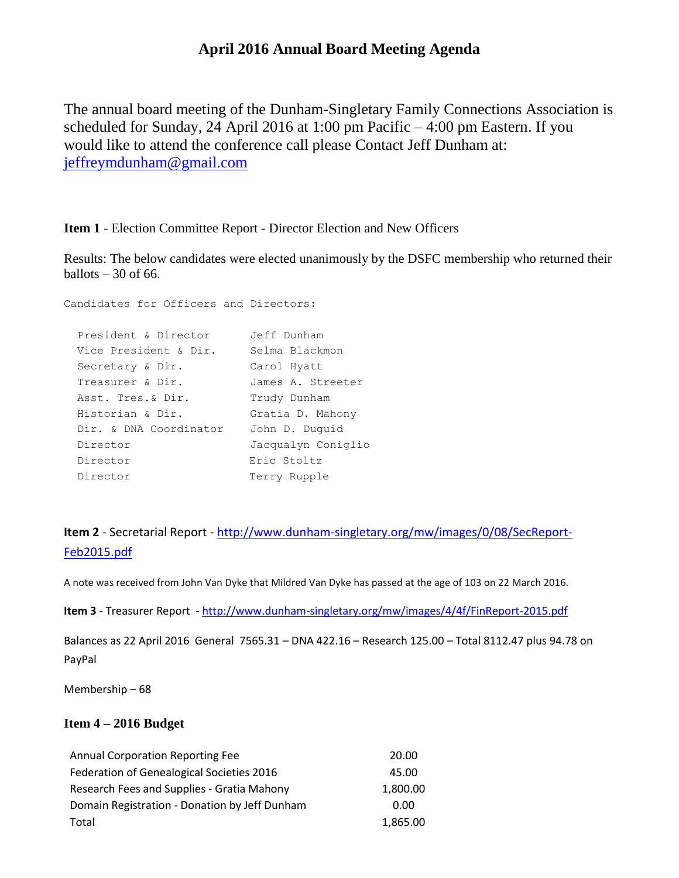# **April 2016 Annual Board Meeting Agenda**

The annual board meeting of the Dunham-Singletary Family Connections Association is scheduled for Sunday, 24 April 2016 at 1:00 pm Pacific – 4:00 pm Eastern. If you would like to attend the conference call please Contact Jeff Dunham at: [jeffreymdunham@gmail.com](mailto:jeffreymdunham@gmail.com)

**Item 1** - Election Committee Report - Director Election and New Officers

Results: The below candidates were elected unanimously by the DSFC membership who returned their ballots  $-30$  of 66.

| Candidates for Officers and Directors: |                    |
|----------------------------------------|--------------------|
| President & Director                   | Jeff Dunham        |
| Vice President & Dir.                  | Selma Blackmon     |
| Secretary & Dir.                       | Carol Hyatt        |
| Treasurer & Dir.                       | James A. Streeter  |
| Asst. Tres.& Dir.                      | Trudy Dunham       |
| Historian & Dir.                       | Gratia D. Mahony   |
| Dir. & DNA Coordinator                 | John D. Duquid     |
| Director                               | Jacqualyn Coniglio |
| Director                               | Eric Stoltz        |
| Director                               | Terry Rupple       |
|                                        |                    |

**Item 2** - Secretarial Report - [http://www.dunham-singletary.org/mw/images/0/08/SecReport-](http://www.dunham-singletary.org/mw/images/0/08/SecReport-Feb2015.pdf)[Feb2015.pdf](http://www.dunham-singletary.org/mw/images/0/08/SecReport-Feb2015.pdf)

A note was received from John Van Dyke that Mildred Van Dyke has passed at the age of 103 on 22 March 2016.

**Item 3** - Treasurer Report - <http://www.dunham-singletary.org/mw/images/4/4f/FinReport-2015.pdf>

Balances as 22 April 2016 General 7565.31 – DNA 422.16 – Research 125.00 – Total 8112.47 plus 94.78 on PayPal

Membership – 68

## **Item 4 – 2016 Budget**

| <b>Annual Corporation Reporting Fee</b>       | 20.00    |
|-----------------------------------------------|----------|
| Federation of Genealogical Societies 2016     | 45.00    |
| Research Fees and Supplies - Gratia Mahony    | 1,800.00 |
| Domain Registration - Donation by Jeff Dunham | 0.00     |
| Total                                         | 1,865.00 |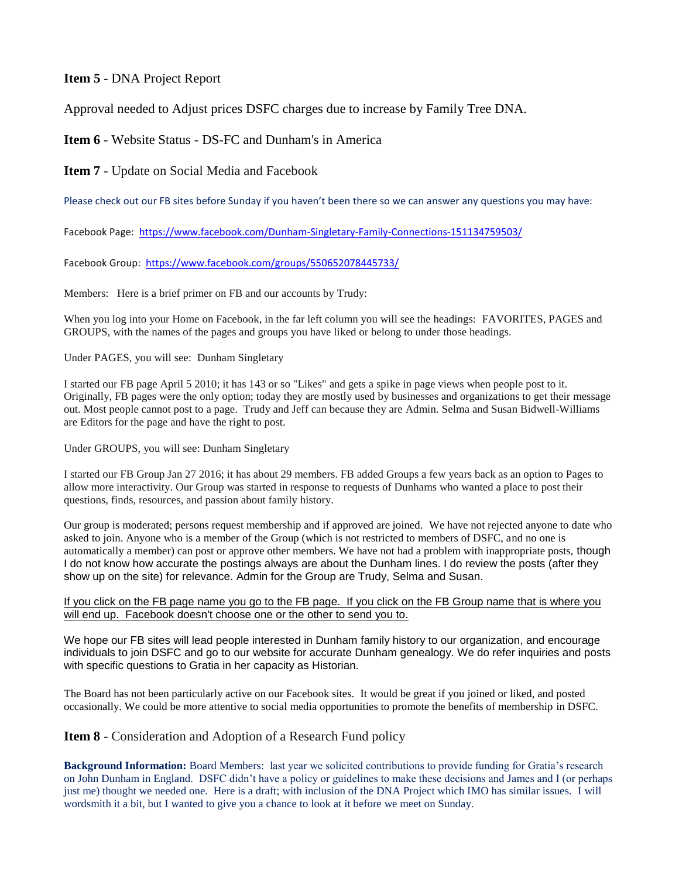## **Item 5** - DNA Project Report

Approval needed to Adjust prices DSFC charges due to increase by Family Tree DNA.

**Item 6** - Website Status - DS-FC and Dunham's in America

**Item 7** - Update on Social Media and Facebook

Please check out our FB sites before Sunday if you haven't been there so we can answer any questions you may have:

Facebook Page: <https://www.facebook.com/Dunham-Singletary-Family-Connections-151134759503/>

Facebook Group: <https://www.facebook.com/groups/550652078445733/>

Members: Here is a brief primer on FB and our accounts by Trudy:

When you log into your Home on Facebook, in the far left column you will see the headings: FAVORITES, PAGES and GROUPS, with the names of the pages and groups you have liked or belong to under those headings.

Under PAGES, you will see: Dunham Singletary

I started our FB page April 5 2010; it has 143 or so "Likes" and gets a spike in page views when people post to it. Originally, FB pages were the only option; today they are mostly used by businesses and organizations to get their message out. Most people cannot post to a page. Trudy and Jeff can because they are Admin. Selma and Susan Bidwell-Williams are Editors for the page and have the right to post.

Under GROUPS, you will see: Dunham Singletary

I started our FB Group Jan 27 2016; it has about 29 members. FB added Groups a few years back as an option to Pages to allow more interactivity. Our Group was started in response to requests of Dunhams who wanted a place to post their questions, finds, resources, and passion about family history.

Our group is moderated; persons request membership and if approved are joined. We have not rejected anyone to date who asked to join. Anyone who is a member of the Group (which is not restricted to members of DSFC, and no one is automatically a member) can post or approve other members. We have not had a problem with inappropriate posts, though I do not know how accurate the postings always are about the Dunham lines. I do review the posts (after they show up on the site) for relevance. Admin for the Group are Trudy, Selma and Susan.

### If you click on the FB page name you go to the FB page. If you click on the FB Group name that is where you will end up. Facebook doesn't choose one or the other to send you to.

We hope our FB sites will lead people interested in Dunham family history to our organization, and encourage individuals to join DSFC and go to our website for accurate Dunham genealogy. We do refer inquiries and posts with specific questions to Gratia in her capacity as Historian.

The Board has not been particularly active on our Facebook sites. It would be great if you joined or liked, and posted occasionally. We could be more attentive to social media opportunities to promote the benefits of membership in DSFC.

## **Item 8** - Consideration and Adoption of a Research Fund policy

**Background Information:** Board Members: last year we solicited contributions to provide funding for Gratia's research on John Dunham in England. DSFC didn't have a policy or guidelines to make these decisions and James and I (or perhaps just me) thought we needed one. Here is a draft; with inclusion of the DNA Project which IMO has similar issues. I will wordsmith it a bit, but I wanted to give you a chance to look at it before we meet on Sunday.